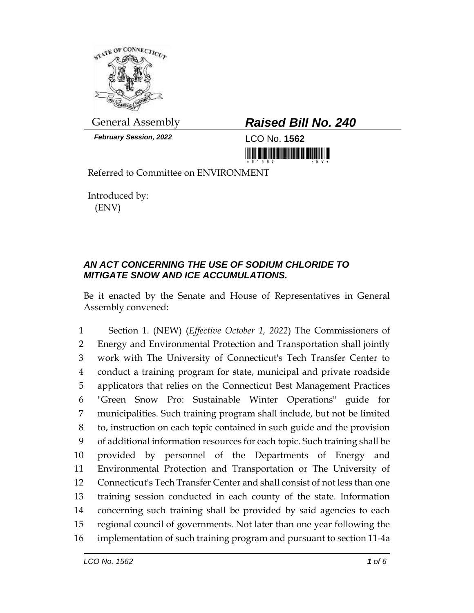

*February Session, 2022* LCO No. **1562**

## General Assembly *Raised Bill No. 240*

<u> 1999 - Andrea Stadt Maria Maria Stadt Maria Maria Stadt Maria Stadt Maria Stadt Maria Stadt Maria Stadt Maria</u>

Referred to Committee on ENVIRONMENT

Introduced by: (ENV)

## *AN ACT CONCERNING THE USE OF SODIUM CHLORIDE TO MITIGATE SNOW AND ICE ACCUMULATIONS.*

Be it enacted by the Senate and House of Representatives in General Assembly convened:

 Section 1. (NEW) (*Effective October 1, 2022*) The Commissioners of Energy and Environmental Protection and Transportation shall jointly work with The University of Connecticut's Tech Transfer Center to conduct a training program for state, municipal and private roadside applicators that relies on the Connecticut Best Management Practices "Green Snow Pro: Sustainable Winter Operations" guide for municipalities. Such training program shall include, but not be limited to, instruction on each topic contained in such guide and the provision of additional information resources for each topic. Such training shall be provided by personnel of the Departments of Energy and Environmental Protection and Transportation or The University of Connecticut's Tech Transfer Center and shall consist of not less than one training session conducted in each county of the state. Information concerning such training shall be provided by said agencies to each regional council of governments. Not later than one year following the implementation of such training program and pursuant to section 11-4a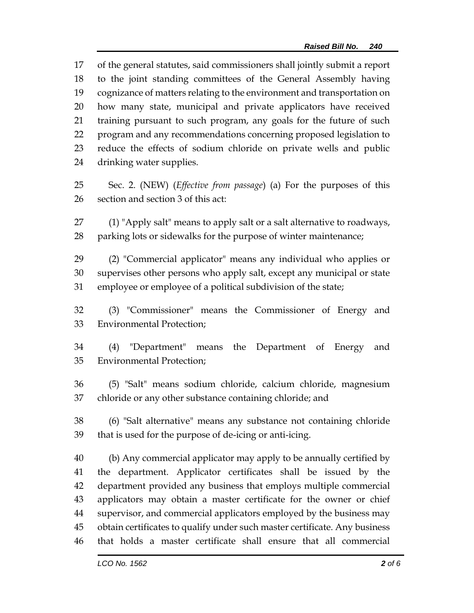of the general statutes, said commissioners shall jointly submit a report to the joint standing committees of the General Assembly having cognizance of matters relating to the environment and transportation on how many state, municipal and private applicators have received training pursuant to such program, any goals for the future of such program and any recommendations concerning proposed legislation to reduce the effects of sodium chloride on private wells and public drinking water supplies.

 Sec. 2. (NEW) (*Effective from passage*) (a) For the purposes of this section and section 3 of this act:

 (1) "Apply salt" means to apply salt or a salt alternative to roadways, parking lots or sidewalks for the purpose of winter maintenance;

 (2) "Commercial applicator" means any individual who applies or supervises other persons who apply salt, except any municipal or state employee or employee of a political subdivision of the state;

 (3) "Commissioner" means the Commissioner of Energy and Environmental Protection;

 (4) "Department" means the Department of Energy and Environmental Protection;

 (5) "Salt" means sodium chloride, calcium chloride, magnesium chloride or any other substance containing chloride; and

 (6) "Salt alternative" means any substance not containing chloride that is used for the purpose of de-icing or anti-icing.

 (b) Any commercial applicator may apply to be annually certified by the department. Applicator certificates shall be issued by the department provided any business that employs multiple commercial applicators may obtain a master certificate for the owner or chief supervisor, and commercial applicators employed by the business may obtain certificates to qualify under such master certificate. Any business that holds a master certificate shall ensure that all commercial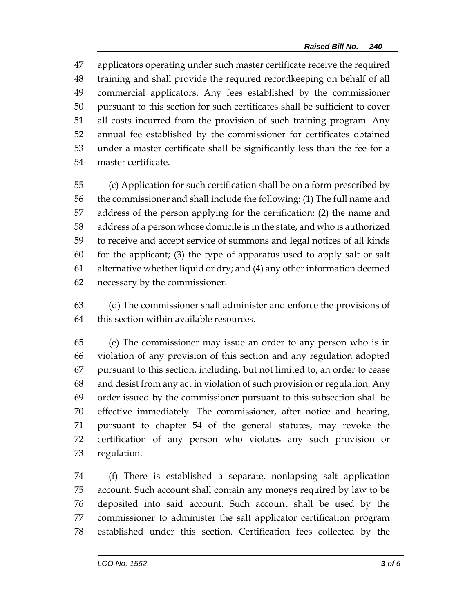applicators operating under such master certificate receive the required training and shall provide the required recordkeeping on behalf of all commercial applicators. Any fees established by the commissioner pursuant to this section for such certificates shall be sufficient to cover all costs incurred from the provision of such training program. Any annual fee established by the commissioner for certificates obtained under a master certificate shall be significantly less than the fee for a master certificate.

 (c) Application for such certification shall be on a form prescribed by the commissioner and shall include the following: (1) The full name and address of the person applying for the certification; (2) the name and address of a person whose domicile is in the state, and who is authorized to receive and accept service of summons and legal notices of all kinds for the applicant; (3) the type of apparatus used to apply salt or salt alternative whether liquid or dry; and (4) any other information deemed necessary by the commissioner.

 (d) The commissioner shall administer and enforce the provisions of this section within available resources.

 (e) The commissioner may issue an order to any person who is in violation of any provision of this section and any regulation adopted pursuant to this section, including, but not limited to, an order to cease and desist from any act in violation of such provision or regulation. Any order issued by the commissioner pursuant to this subsection shall be effective immediately. The commissioner, after notice and hearing, pursuant to chapter 54 of the general statutes, may revoke the certification of any person who violates any such provision or regulation.

 (f) There is established a separate, nonlapsing salt application account. Such account shall contain any moneys required by law to be deposited into said account. Such account shall be used by the commissioner to administer the salt applicator certification program established under this section. Certification fees collected by the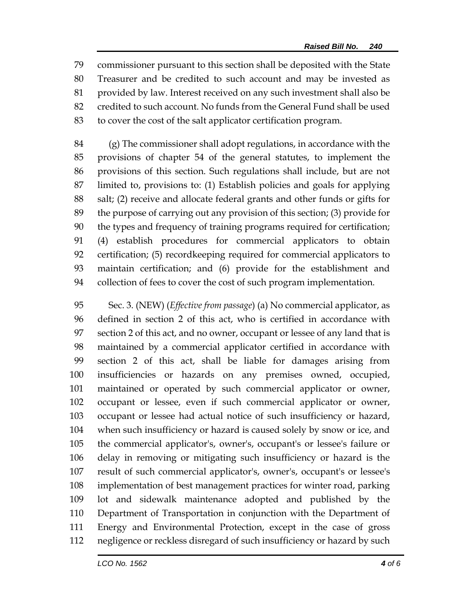commissioner pursuant to this section shall be deposited with the State Treasurer and be credited to such account and may be invested as provided by law. Interest received on any such investment shall also be credited to such account. No funds from the General Fund shall be used to cover the cost of the salt applicator certification program.

 (g) The commissioner shall adopt regulations, in accordance with the provisions of chapter 54 of the general statutes, to implement the provisions of this section. Such regulations shall include, but are not limited to, provisions to: (1) Establish policies and goals for applying salt; (2) receive and allocate federal grants and other funds or gifts for the purpose of carrying out any provision of this section; (3) provide for the types and frequency of training programs required for certification; (4) establish procedures for commercial applicators to obtain certification; (5) recordkeeping required for commercial applicators to maintain certification; and (6) provide for the establishment and collection of fees to cover the cost of such program implementation.

 Sec. 3. (NEW) (*Effective from passage*) (a) No commercial applicator, as defined in section 2 of this act, who is certified in accordance with section 2 of this act, and no owner, occupant or lessee of any land that is maintained by a commercial applicator certified in accordance with section 2 of this act, shall be liable for damages arising from insufficiencies or hazards on any premises owned, occupied, maintained or operated by such commercial applicator or owner, occupant or lessee, even if such commercial applicator or owner, occupant or lessee had actual notice of such insufficiency or hazard, when such insufficiency or hazard is caused solely by snow or ice, and the commercial applicator's, owner's, occupant's or lessee's failure or delay in removing or mitigating such insufficiency or hazard is the result of such commercial applicator's, owner's, occupant's or lessee's implementation of best management practices for winter road, parking lot and sidewalk maintenance adopted and published by the Department of Transportation in conjunction with the Department of Energy and Environmental Protection, except in the case of gross negligence or reckless disregard of such insufficiency or hazard by such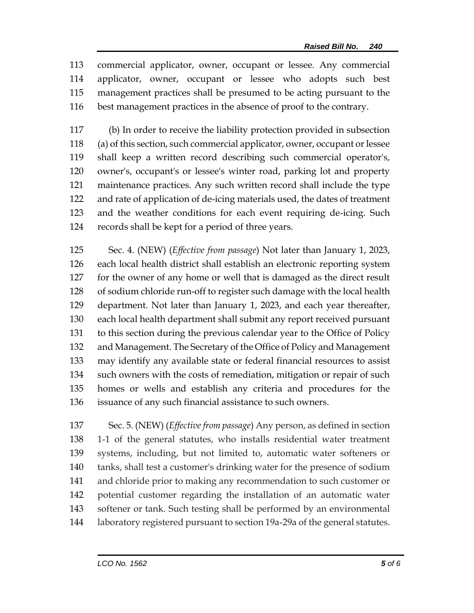commercial applicator, owner, occupant or lessee. Any commercial applicator, owner, occupant or lessee who adopts such best management practices shall be presumed to be acting pursuant to the best management practices in the absence of proof to the contrary.

 (b) In order to receive the liability protection provided in subsection (a) of this section, such commercial applicator, owner, occupant or lessee shall keep a written record describing such commercial operator's, owner's, occupant's or lessee's winter road, parking lot and property maintenance practices. Any such written record shall include the type and rate of application of de-icing materials used, the dates of treatment and the weather conditions for each event requiring de-icing. Such records shall be kept for a period of three years.

 Sec. 4. (NEW) (*Effective from passage*) Not later than January 1, 2023, each local health district shall establish an electronic reporting system for the owner of any home or well that is damaged as the direct result of sodium chloride run-off to register such damage with the local health department. Not later than January 1, 2023, and each year thereafter, each local health department shall submit any report received pursuant to this section during the previous calendar year to the Office of Policy and Management. The Secretary of the Office of Policy and Management may identify any available state or federal financial resources to assist such owners with the costs of remediation, mitigation or repair of such homes or wells and establish any criteria and procedures for the issuance of any such financial assistance to such owners.

 Sec. 5. (NEW) (*Effective from passage*) Any person, as defined in section 1-1 of the general statutes, who installs residential water treatment systems, including, but not limited to, automatic water softeners or tanks, shall test a customer's drinking water for the presence of sodium and chloride prior to making any recommendation to such customer or potential customer regarding the installation of an automatic water softener or tank. Such testing shall be performed by an environmental laboratory registered pursuant to section 19a-29a of the general statutes.